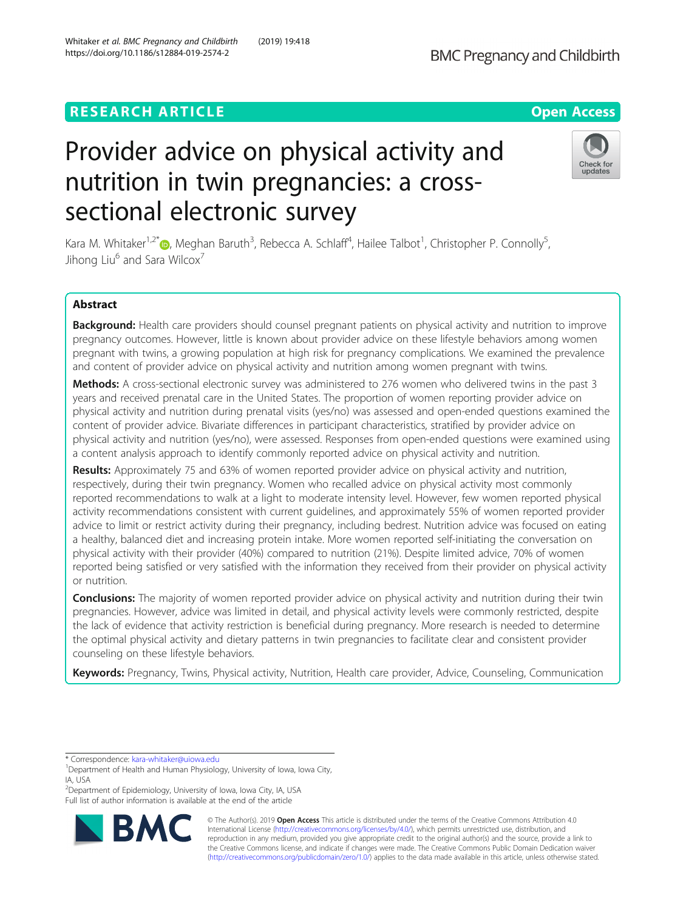# **RESEARCH ARTICLE EXECUTE: CONSIDERING A RESEARCH ARTICLE**

# Provider advice on physical activity and nutrition in twin pregnancies: a crosssectional electronic survey

Kara M. Whitaker<sup>1,2\*</sup> (@, Meghan Baruth<sup>3</sup>, Rebecca A. Schlaff<sup>4</sup>, Hailee Talbot<sup>1</sup>, Christopher P. Connolly<sup>5</sup> , Jihong Liu<sup>6</sup> and Sara Wilcox<sup>7</sup>

# Abstract

Background: Health care providers should counsel pregnant patients on physical activity and nutrition to improve pregnancy outcomes. However, little is known about provider advice on these lifestyle behaviors among women pregnant with twins, a growing population at high risk for pregnancy complications. We examined the prevalence and content of provider advice on physical activity and nutrition among women pregnant with twins.

Methods: A cross-sectional electronic survey was administered to 276 women who delivered twins in the past 3 years and received prenatal care in the United States. The proportion of women reporting provider advice on physical activity and nutrition during prenatal visits (yes/no) was assessed and open-ended questions examined the content of provider advice. Bivariate differences in participant characteristics, stratified by provider advice on physical activity and nutrition (yes/no), were assessed. Responses from open-ended questions were examined using a content analysis approach to identify commonly reported advice on physical activity and nutrition.

Results: Approximately 75 and 63% of women reported provider advice on physical activity and nutrition, respectively, during their twin pregnancy. Women who recalled advice on physical activity most commonly reported recommendations to walk at a light to moderate intensity level. However, few women reported physical activity recommendations consistent with current guidelines, and approximately 55% of women reported provider advice to limit or restrict activity during their pregnancy, including bedrest. Nutrition advice was focused on eating a healthy, balanced diet and increasing protein intake. More women reported self-initiating the conversation on physical activity with their provider (40%) compared to nutrition (21%). Despite limited advice, 70% of women reported being satisfied or very satisfied with the information they received from their provider on physical activity or nutrition.

**Conclusions:** The majority of women reported provider advice on physical activity and nutrition during their twin pregnancies. However, advice was limited in detail, and physical activity levels were commonly restricted, despite the lack of evidence that activity restriction is beneficial during pregnancy. More research is needed to determine the optimal physical activity and dietary patterns in twin pregnancies to facilitate clear and consistent provider counseling on these lifestyle behaviors.

Keywords: Pregnancy, Twins, Physical activity, Nutrition, Health care provider, Advice, Counseling, Communication

**BM** 

<sup>2</sup>Department of Epidemiology, University of Iowa, Iowa City, IA, USA Full list of author information is available at the end of the article

> © The Author(s). 2019 Open Access This article is distributed under the terms of the Creative Commons Attribution 4.0 International License [\(http://creativecommons.org/licenses/by/4.0/](http://creativecommons.org/licenses/by/4.0/)), which permits unrestricted use, distribution, and reproduction in any medium, provided you give appropriate credit to the original author(s) and the source, provide a link to the Creative Commons license, and indicate if changes were made. The Creative Commons Public Domain Dedication waiver [\(http://creativecommons.org/publicdomain/zero/1.0/](http://creativecommons.org/publicdomain/zero/1.0/)) applies to the data made available in this article, unless otherwise stated.





Check for

<sup>&</sup>lt;sup>1</sup>Department of Health and Human Physiology, University of Iowa, Iowa City, IA, USA

<sup>\*</sup> Correspondence: [kara-whitaker@uiowa.edu](mailto:kara-whitaker@uiowa.edu) <sup>1</sup>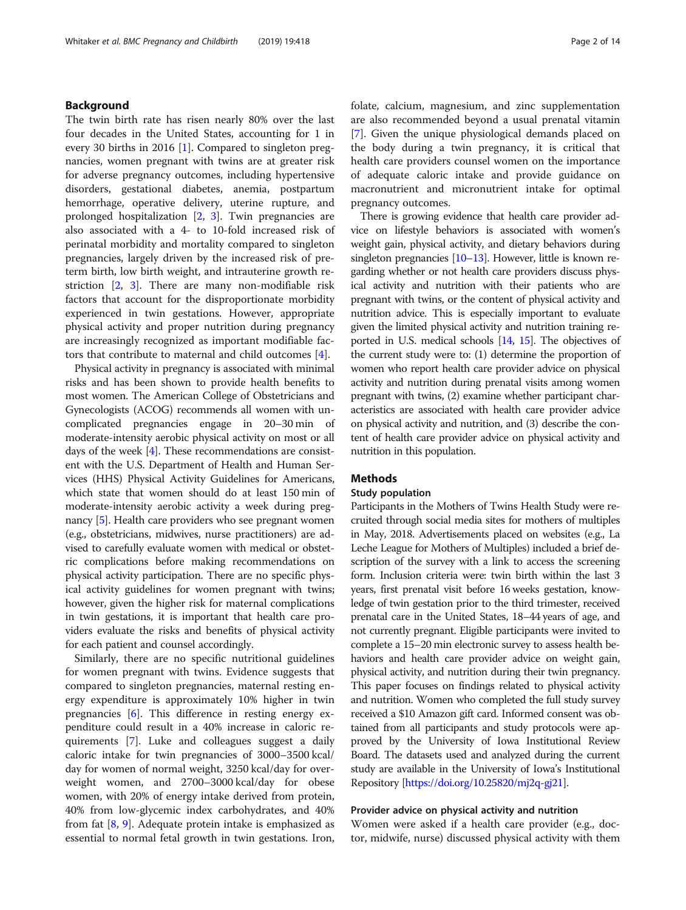# Background

The twin birth rate has risen nearly 80% over the last four decades in the United States, accounting for 1 in every 30 births in 2016 [[1\]](#page-12-0). Compared to singleton pregnancies, women pregnant with twins are at greater risk for adverse pregnancy outcomes, including hypertensive disorders, gestational diabetes, anemia, postpartum hemorrhage, operative delivery, uterine rupture, and prolonged hospitalization [[2,](#page-12-0) [3\]](#page-12-0). Twin pregnancies are also associated with a 4- to 10-fold increased risk of perinatal morbidity and mortality compared to singleton pregnancies, largely driven by the increased risk of preterm birth, low birth weight, and intrauterine growth restriction [[2,](#page-12-0) [3\]](#page-12-0). There are many non-modifiable risk factors that account for the disproportionate morbidity experienced in twin gestations. However, appropriate physical activity and proper nutrition during pregnancy are increasingly recognized as important modifiable factors that contribute to maternal and child outcomes [[4](#page-12-0)].

Physical activity in pregnancy is associated with minimal risks and has been shown to provide health benefits to most women. The American College of Obstetricians and Gynecologists (ACOG) recommends all women with uncomplicated pregnancies engage in 20–30 min of moderate-intensity aerobic physical activity on most or all days of the week [\[4](#page-12-0)]. These recommendations are consistent with the U.S. Department of Health and Human Services (HHS) Physical Activity Guidelines for Americans, which state that women should do at least 150 min of moderate-intensity aerobic activity a week during pregnancy [\[5\]](#page-12-0). Health care providers who see pregnant women (e.g., obstetricians, midwives, nurse practitioners) are advised to carefully evaluate women with medical or obstetric complications before making recommendations on physical activity participation. There are no specific physical activity guidelines for women pregnant with twins; however, given the higher risk for maternal complications in twin gestations, it is important that health care providers evaluate the risks and benefits of physical activity for each patient and counsel accordingly.

Similarly, there are no specific nutritional guidelines for women pregnant with twins. Evidence suggests that compared to singleton pregnancies, maternal resting energy expenditure is approximately 10% higher in twin pregnancies [[6\]](#page-12-0). This difference in resting energy expenditure could result in a 40% increase in caloric requirements [\[7](#page-12-0)]. Luke and colleagues suggest a daily caloric intake for twin pregnancies of 3000–3500 kcal/ day for women of normal weight, 3250 kcal/day for overweight women, and 2700–3000 kcal/day for obese women, with 20% of energy intake derived from protein, 40% from low-glycemic index carbohydrates, and 40% from fat [\[8](#page-13-0), [9](#page-13-0)]. Adequate protein intake is emphasized as essential to normal fetal growth in twin gestations. Iron, folate, calcium, magnesium, and zinc supplementation are also recommended beyond a usual prenatal vitamin [[7\]](#page-12-0). Given the unique physiological demands placed on the body during a twin pregnancy, it is critical that health care providers counsel women on the importance of adequate caloric intake and provide guidance on macronutrient and micronutrient intake for optimal pregnancy outcomes.

There is growing evidence that health care provider advice on lifestyle behaviors is associated with women's weight gain, physical activity, and dietary behaviors during singleton pregnancies [\[10](#page-13-0)–[13](#page-13-0)]. However, little is known regarding whether or not health care providers discuss physical activity and nutrition with their patients who are pregnant with twins, or the content of physical activity and nutrition advice. This is especially important to evaluate given the limited physical activity and nutrition training reported in U.S. medical schools [[14,](#page-13-0) [15](#page-13-0)]. The objectives of the current study were to: (1) determine the proportion of women who report health care provider advice on physical activity and nutrition during prenatal visits among women pregnant with twins, (2) examine whether participant characteristics are associated with health care provider advice on physical activity and nutrition, and (3) describe the content of health care provider advice on physical activity and nutrition in this population.

# Methods

# Study population

Participants in the Mothers of Twins Health Study were recruited through social media sites for mothers of multiples in May, 2018. Advertisements placed on websites (e.g., La Leche League for Mothers of Multiples) included a brief description of the survey with a link to access the screening form. Inclusion criteria were: twin birth within the last 3 years, first prenatal visit before 16 weeks gestation, knowledge of twin gestation prior to the third trimester, received prenatal care in the United States, 18–44 years of age, and not currently pregnant. Eligible participants were invited to complete a 15–20 min electronic survey to assess health behaviors and health care provider advice on weight gain, physical activity, and nutrition during their twin pregnancy. This paper focuses on findings related to physical activity and nutrition. Women who completed the full study survey received a \$10 Amazon gift card. Informed consent was obtained from all participants and study protocols were approved by the University of Iowa Institutional Review Board. The datasets used and analyzed during the current study are available in the University of Iowa's Institutional Repository [\[https://doi.org/10.25820/mj2q-gj21\]](https://doi.org/10.25820/mj2q-gj21).

# Provider advice on physical activity and nutrition

Women were asked if a health care provider (e.g., doctor, midwife, nurse) discussed physical activity with them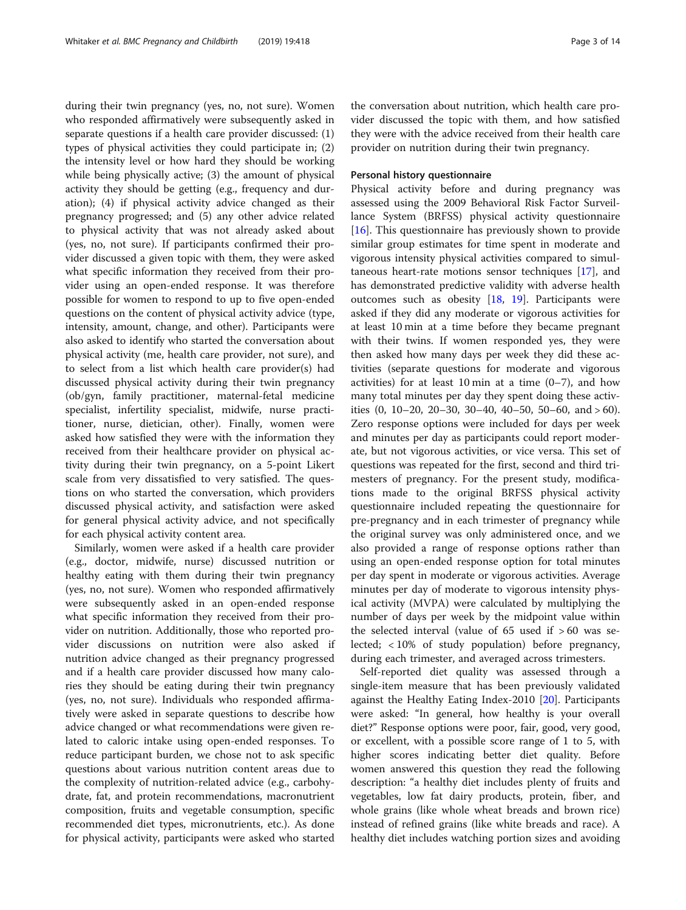during their twin pregnancy (yes, no, not sure). Women who responded affirmatively were subsequently asked in separate questions if a health care provider discussed: (1) types of physical activities they could participate in; (2) the intensity level or how hard they should be working while being physically active; (3) the amount of physical activity they should be getting (e.g., frequency and duration); (4) if physical activity advice changed as their pregnancy progressed; and (5) any other advice related to physical activity that was not already asked about (yes, no, not sure). If participants confirmed their provider discussed a given topic with them, they were asked what specific information they received from their provider using an open-ended response. It was therefore possible for women to respond to up to five open-ended questions on the content of physical activity advice (type, intensity, amount, change, and other). Participants were also asked to identify who started the conversation about physical activity (me, health care provider, not sure), and to select from a list which health care provider(s) had discussed physical activity during their twin pregnancy (ob/gyn, family practitioner, maternal-fetal medicine specialist, infertility specialist, midwife, nurse practitioner, nurse, dietician, other). Finally, women were asked how satisfied they were with the information they received from their healthcare provider on physical activity during their twin pregnancy, on a 5-point Likert scale from very dissatisfied to very satisfied. The questions on who started the conversation, which providers discussed physical activity, and satisfaction were asked for general physical activity advice, and not specifically for each physical activity content area.

Similarly, women were asked if a health care provider (e.g., doctor, midwife, nurse) discussed nutrition or healthy eating with them during their twin pregnancy (yes, no, not sure). Women who responded affirmatively were subsequently asked in an open-ended response what specific information they received from their provider on nutrition. Additionally, those who reported provider discussions on nutrition were also asked if nutrition advice changed as their pregnancy progressed and if a health care provider discussed how many calories they should be eating during their twin pregnancy (yes, no, not sure). Individuals who responded affirmatively were asked in separate questions to describe how advice changed or what recommendations were given related to caloric intake using open-ended responses. To reduce participant burden, we chose not to ask specific questions about various nutrition content areas due to the complexity of nutrition-related advice (e.g., carbohydrate, fat, and protein recommendations, macronutrient composition, fruits and vegetable consumption, specific recommended diet types, micronutrients, etc.). As done for physical activity, participants were asked who started

the conversation about nutrition, which health care provider discussed the topic with them, and how satisfied they were with the advice received from their health care provider on nutrition during their twin pregnancy.

# Personal history questionnaire

Physical activity before and during pregnancy was assessed using the 2009 Behavioral Risk Factor Surveillance System (BRFSS) physical activity questionnaire [[16\]](#page-13-0). This questionnaire has previously shown to provide similar group estimates for time spent in moderate and vigorous intensity physical activities compared to simultaneous heart-rate motions sensor techniques [\[17](#page-13-0)], and has demonstrated predictive validity with adverse health outcomes such as obesity [\[18](#page-13-0), [19\]](#page-13-0). Participants were asked if they did any moderate or vigorous activities for at least 10 min at a time before they became pregnant with their twins. If women responded yes, they were then asked how many days per week they did these activities (separate questions for moderate and vigorous activities) for at least 10 min at a time  $(0-7)$ , and how many total minutes per day they spent doing these activities  $(0, 10-20, 20-30, 30-40, 40-50, 50-60, and > 60)$ . Zero response options were included for days per week and minutes per day as participants could report moderate, but not vigorous activities, or vice versa. This set of questions was repeated for the first, second and third trimesters of pregnancy. For the present study, modifications made to the original BRFSS physical activity questionnaire included repeating the questionnaire for pre-pregnancy and in each trimester of pregnancy while the original survey was only administered once, and we also provided a range of response options rather than using an open-ended response option for total minutes per day spent in moderate or vigorous activities. Average minutes per day of moderate to vigorous intensity physical activity (MVPA) were calculated by multiplying the number of days per week by the midpoint value within the selected interval (value of  $65$  used if  $>60$  was selected; < 10% of study population) before pregnancy, during each trimester, and averaged across trimesters.

Self-reported diet quality was assessed through a single-item measure that has been previously validated against the Healthy Eating Index-[20](#page-13-0)10 [20]. Participants were asked: "In general, how healthy is your overall diet?" Response options were poor, fair, good, very good, or excellent, with a possible score range of 1 to 5, with higher scores indicating better diet quality. Before women answered this question they read the following description: "a healthy diet includes plenty of fruits and vegetables, low fat dairy products, protein, fiber, and whole grains (like whole wheat breads and brown rice) instead of refined grains (like white breads and race). A healthy diet includes watching portion sizes and avoiding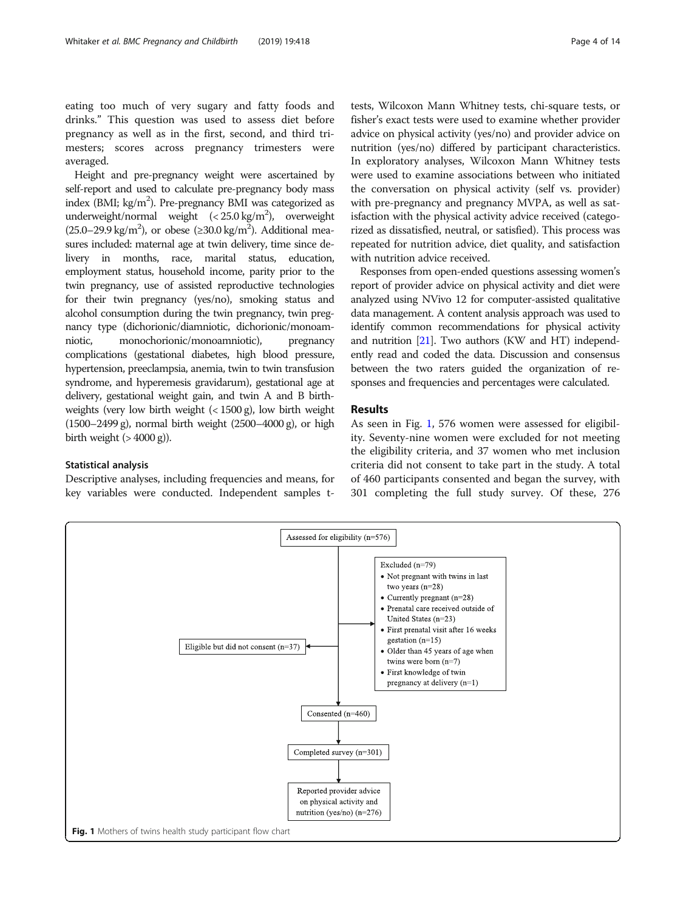eating too much of very sugary and fatty foods and drinks." This question was used to assess diet before pregnancy as well as in the first, second, and third trimesters; scores across pregnancy trimesters were averaged.

Height and pre-pregnancy weight were ascertained by self-report and used to calculate pre-pregnancy body mass index (BMI; kg/m<sup>2</sup>). Pre-pregnancy BMI was categorized as underweight/normal weight (< 25.0 kg/m<sup>2</sup>), overweight (25.0–29.9 kg/m<sup>2</sup>), or obese ( $\geq$ 30.0 kg/m<sup>2</sup>). Additional measures included: maternal age at twin delivery, time since delivery in months, race, marital status, education, employment status, household income, parity prior to the twin pregnancy, use of assisted reproductive technologies for their twin pregnancy (yes/no), smoking status and alcohol consumption during the twin pregnancy, twin pregnancy type (dichorionic/diamniotic, dichorionic/monoamniotic, monochorionic/monoamniotic), pregnancy complications (gestational diabetes, high blood pressure, hypertension, preeclampsia, anemia, twin to twin transfusion syndrome, and hyperemesis gravidarum), gestational age at delivery, gestational weight gain, and twin A and B birthweights (very low birth weight (< 1500 g), low birth weight (1500–2499 g), normal birth weight (2500–4000 g), or high birth weight  $(> 4000 \text{ g})$ ).

tests, Wilcoxon Mann Whitney tests, chi-square tests, or fisher's exact tests were used to examine whether provider advice on physical activity (yes/no) and provider advice on nutrition (yes/no) differed by participant characteristics. In exploratory analyses, Wilcoxon Mann Whitney tests were used to examine associations between who initiated the conversation on physical activity (self vs. provider) with pre-pregnancy and pregnancy MVPA, as well as satisfaction with the physical activity advice received (categorized as dissatisfied, neutral, or satisfied). This process was repeated for nutrition advice, diet quality, and satisfaction with nutrition advice received.

Responses from open-ended questions assessing women's report of provider advice on physical activity and diet were analyzed using NVivo 12 for computer-assisted qualitative data management. A content analysis approach was used to identify common recommendations for physical activity and nutrition [\[21\]](#page-13-0). Two authors (KW and HT) independently read and coded the data. Discussion and consensus between the two raters guided the organization of responses and frequencies and percentages were calculated.

# Results

Statistical analysis

Descriptive analyses, including frequencies and means, for key variables were conducted. Independent samples t-

As seen in Fig. 1, 576 women were assessed for eligibility. Seventy-nine women were excluded for not meeting the eligibility criteria, and 37 women who met inclusion criteria did not consent to take part in the study. A total of 460 participants consented and began the survey, with 301 completing the full study survey. Of these, 276

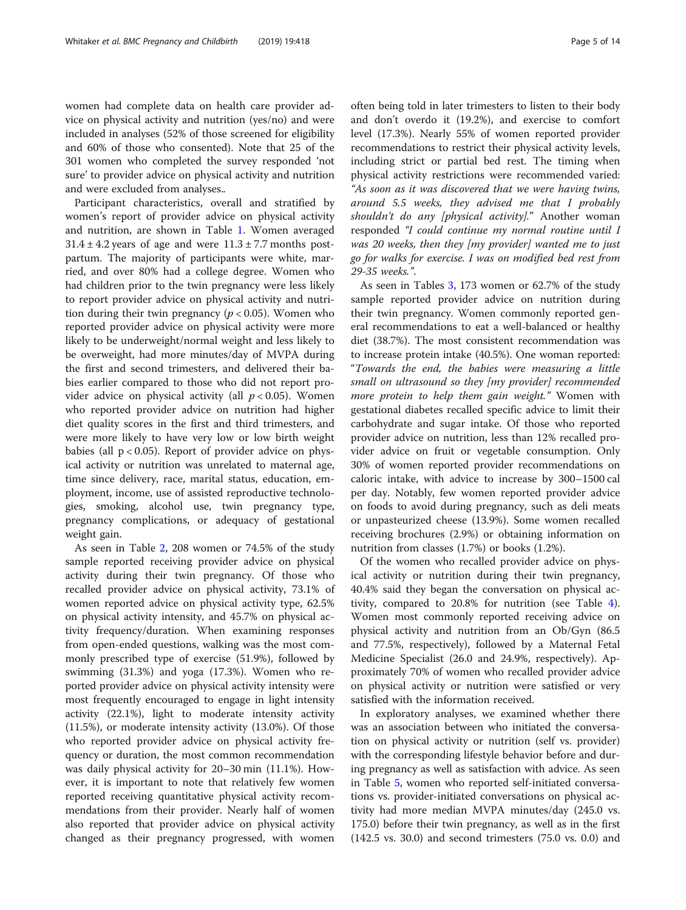women had complete data on health care provider advice on physical activity and nutrition (yes/no) and were included in analyses (52% of those screened for eligibility and 60% of those who consented). Note that 25 of the 301 women who completed the survey responded 'not sure' to provider advice on physical activity and nutrition and were excluded from analyses..

Participant characteristics, overall and stratified by women's report of provider advice on physical activity and nutrition, are shown in Table [1](#page-5-0). Women averaged  $31.4 \pm 4.2$  years of age and were  $11.3 \pm 7.7$  months postpartum. The majority of participants were white, married, and over 80% had a college degree. Women who had children prior to the twin pregnancy were less likely to report provider advice on physical activity and nutrition during their twin pregnancy ( $p < 0.05$ ). Women who reported provider advice on physical activity were more likely to be underweight/normal weight and less likely to be overweight, had more minutes/day of MVPA during the first and second trimesters, and delivered their babies earlier compared to those who did not report provider advice on physical activity (all  $p < 0.05$ ). Women who reported provider advice on nutrition had higher diet quality scores in the first and third trimesters, and were more likely to have very low or low birth weight babies (all  $p < 0.05$ ). Report of provider advice on physical activity or nutrition was unrelated to maternal age, time since delivery, race, marital status, education, employment, income, use of assisted reproductive technologies, smoking, alcohol use, twin pregnancy type, pregnancy complications, or adequacy of gestational weight gain.

As seen in Table [2,](#page-8-0) 208 women or 74.5% of the study sample reported receiving provider advice on physical activity during their twin pregnancy. Of those who recalled provider advice on physical activity, 73.1% of women reported advice on physical activity type, 62.5% on physical activity intensity, and 45.7% on physical activity frequency/duration. When examining responses from open-ended questions, walking was the most commonly prescribed type of exercise (51.9%), followed by swimming (31.3%) and yoga (17.3%). Women who reported provider advice on physical activity intensity were most frequently encouraged to engage in light intensity activity (22.1%), light to moderate intensity activity (11.5%), or moderate intensity activity (13.0%). Of those who reported provider advice on physical activity frequency or duration, the most common recommendation was daily physical activity for 20–30 min (11.1%). However, it is important to note that relatively few women reported receiving quantitative physical activity recommendations from their provider. Nearly half of women also reported that provider advice on physical activity changed as their pregnancy progressed, with women often being told in later trimesters to listen to their body and don't overdo it (19.2%), and exercise to comfort level (17.3%). Nearly 55% of women reported provider recommendations to restrict their physical activity levels, including strict or partial bed rest. The timing when physical activity restrictions were recommended varied: "As soon as it was discovered that we were having twins, around 5.5 weeks, they advised me that I probably shouldn't do any [physical activity]." Another woman responded "I could continue my normal routine until I was 20 weeks, then they [my provider] wanted me to just go for walks for exercise. I was on modified bed rest from 29-35 weeks.".

As seen in Tables [3](#page-9-0), 173 women or 62.7% of the study sample reported provider advice on nutrition during their twin pregnancy. Women commonly reported general recommendations to eat a well-balanced or healthy diet (38.7%). The most consistent recommendation was to increase protein intake (40.5%). One woman reported: "Towards the end, the babies were measuring a little small on ultrasound so they [my provider] recommended more protein to help them gain weight." Women with gestational diabetes recalled specific advice to limit their carbohydrate and sugar intake. Of those who reported provider advice on nutrition, less than 12% recalled provider advice on fruit or vegetable consumption. Only 30% of women reported provider recommendations on caloric intake, with advice to increase by 300–1500 cal per day. Notably, few women reported provider advice on foods to avoid during pregnancy, such as deli meats or unpasteurized cheese (13.9%). Some women recalled receiving brochures (2.9%) or obtaining information on nutrition from classes (1.7%) or books (1.2%).

Of the women who recalled provider advice on physical activity or nutrition during their twin pregnancy, 40.4% said they began the conversation on physical activity, compared to 20.8% for nutrition (see Table [4](#page-10-0)). Women most commonly reported receiving advice on physical activity and nutrition from an Ob/Gyn (86.5 and 77.5%, respectively), followed by a Maternal Fetal Medicine Specialist (26.0 and 24.9%, respectively). Approximately 70% of women who recalled provider advice on physical activity or nutrition were satisfied or very satisfied with the information received.

In exploratory analyses, we examined whether there was an association between who initiated the conversation on physical activity or nutrition (self vs. provider) with the corresponding lifestyle behavior before and during pregnancy as well as satisfaction with advice. As seen in Table [5](#page-11-0), women who reported self-initiated conversations vs. provider-initiated conversations on physical activity had more median MVPA minutes/day (245.0 vs. 175.0) before their twin pregnancy, as well as in the first (142.5 vs. 30.0) and second trimesters (75.0 vs. 0.0) and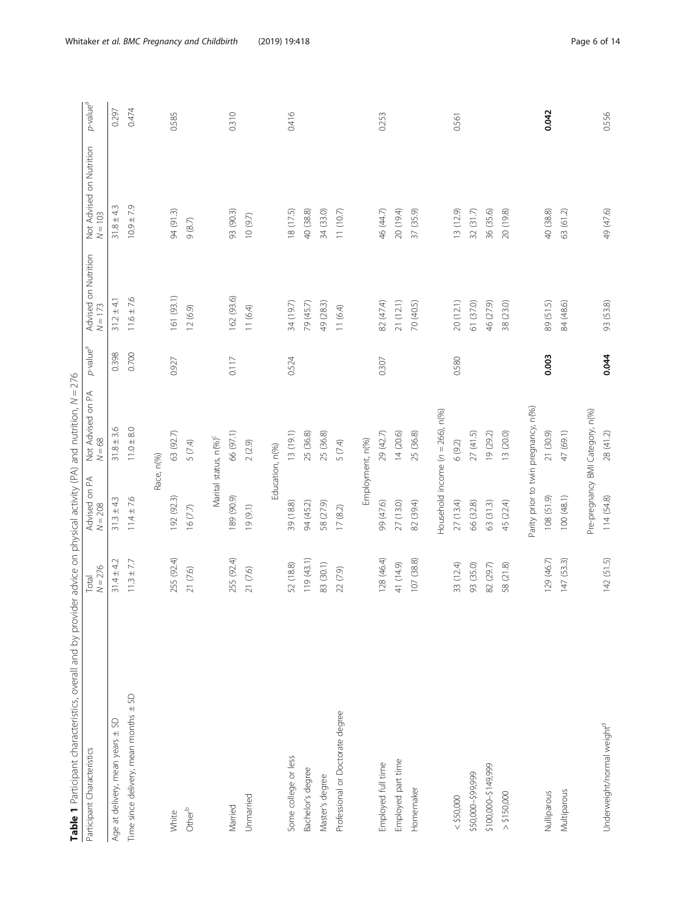| ١<br>֕<br>ļ<br>į<br>$\mathsf{I}$                                |  |
|-----------------------------------------------------------------|--|
| ı                                                               |  |
|                                                                 |  |
| Ī                                                               |  |
| i                                                               |  |
| I<br>ļ                                                          |  |
| l                                                               |  |
| d<br>I<br>İ<br>j<br>i                                           |  |
| Ì<br>I<br>ļ                                                     |  |
| ֕<br>ļ                                                          |  |
| j<br>ł<br>١<br>j<br>i<br>$\frac{1}{2}$<br>ł<br>Ï<br>i<br>l<br>١ |  |
| İ<br>I<br>ś<br>j<br>١<br>I                                      |  |
| ١                                                               |  |
| Τ                                                               |  |
| able.                                                           |  |

<span id="page-5-0"></span>

| Table 1 Participant characteristics, overall and by provider advice on physical activity (PA) and nutrition, N = 276 |                    |                                        |                               |                   |                                   |                                       |                      |
|----------------------------------------------------------------------------------------------------------------------|--------------------|----------------------------------------|-------------------------------|-------------------|-----------------------------------|---------------------------------------|----------------------|
| Participant Characteristics                                                                                          | $N = 276$<br>Total | Advised on PA<br>$N = 208$             | Not Advised on PA<br>$N = 68$ | $p$ -value $^{a}$ | Advised on Nutrition<br>$N = 173$ | Not Advised on Nutrition<br>$N = 103$ | p-value <sup>a</sup> |
| Age at delivery, mean years ± SD                                                                                     | $31.4 \pm 4.2$     | $31.3 \pm 4.3$                         | $31.8 \pm 3.6$                | 0.398             | $31.2 \pm 4.1$                    | $31.8 \pm 4.3$                        | 0.297                |
| Time since delivery, mean months ± SD                                                                                | $11.3 \pm 7.7$     | $11.4 \pm 7.6$                         | $11.0 + 8.0$                  | 0.700             | $11.6 \pm 7.6$                    | $10.9 \pm 7.9$                        | 0.474                |
|                                                                                                                      |                    | Race, n(%)                             |                               |                   |                                   |                                       |                      |
| White                                                                                                                | 255 (92.4)         | 192 (92.3)                             | 63 (92.7)                     | 0.927             | 161 (93.1)                        | 94 (91.3)                             | 0.585                |
| Other <sup>b</sup>                                                                                                   | 21 (7.6)           | 16(7.7)                                | 5 (7.4)                       |                   | 12(6.9)                           | 9(8.7)                                |                      |
|                                                                                                                      |                    | Marital status, n(%) <sup>c</sup>      |                               |                   |                                   |                                       |                      |
| Married                                                                                                              | 255 (92.4)         | 189 (90.9)                             | 66 (97.1)                     | 0.117             | 162 (93.6)                        | 93 (90.3)                             | 0.310                |
| Unmarried                                                                                                            | 21(7.6)            | 19(9.1)                                | 2(2.9)                        |                   | 11(64)                            | 10(9.7)                               |                      |
|                                                                                                                      |                    | Education, n(%)                        |                               |                   |                                   |                                       |                      |
| Some college or less                                                                                                 | 52 (18.8)          | 39 (18.8)                              | 13 (19.1)                     | 0.524             | 34 (19.7)                         | 18(17.5)                              | 0.416                |
| Bachelor's degree                                                                                                    | 119 (43.1)         | 94 (45.2)                              | 25 (36.8)                     |                   | 79 (45.7)                         | 40 (38.8)                             |                      |
| Master's degree                                                                                                      | 83 (30.1)          | 58 (27.9)                              | 25 (36.8)                     |                   | 49 (28.3)                         | 34 (33.0)                             |                      |
| Professional or Doctorate degree                                                                                     | 22(7.9)            | 17(8.2)                                | 5 (7.4)                       |                   | 11(6.4)                           | 11(10.7)                              |                      |
|                                                                                                                      |                    | Employment, n(%)                       |                               |                   |                                   |                                       |                      |
| Employed full time                                                                                                   | 128 (46.4)         | 99 (47.6)                              | 29 (42.7)                     | 0.307             | 82 (47.4)                         | 46 (44.7)                             | 0.253                |
| Employed part time                                                                                                   | 41 (14.9)          | 27(13.0)                               | 14(20.6)                      |                   | 21 (12.1)                         | 20 (19.4)                             |                      |
| Homemaker                                                                                                            | 107 (38.8)         | 82 (39.4)                              | 25 (36.8)                     |                   | 70 (40.5)                         | 37 (35.9)                             |                      |
|                                                                                                                      |                    | Household income $(n = 266)$ , $n(96)$ |                               |                   |                                   |                                       |                      |
| $<$ \$50,000                                                                                                         | 33 (12.4)          | 27(13.4)                               | 6(9.2)                        | 0.580             | 20 (12.1)                         | 13 (12.9)                             | 0.561                |
| \$50,000-\$99,999                                                                                                    | 93 (35.0)          | 66 (32.8)                              | 27(41.5)                      |                   | 61 (37.0)                         | 32(31.7)                              |                      |
| \$100,000-\$149,999                                                                                                  | 82 (29.7)          | 63 (31.3)                              | 19 (29.2)                     |                   | 46 (27.9)                         | 36 (35.6)                             |                      |
| > \$150,000                                                                                                          | 58 (21.8)          | 45 (22.4)                              | 13 (20.0)                     |                   | 38 (23.0)                         | 20 (19.8)                             |                      |
|                                                                                                                      |                    | Parity prior to twin pregnancy, n(%)   |                               |                   |                                   |                                       |                      |
| Nulliparous                                                                                                          | 129 (46.7)         | 108 (51.9)                             | 21 (30.9)                     | 0.003             | 89 (51.5)                         | 40 (38.8)                             | 0.042                |
| Multiparous                                                                                                          | 147(53.3)          | 100(48.1)                              | 47 (69.1)                     |                   | 84 (48.6)                         | 63 (61.2)                             |                      |
|                                                                                                                      |                    | Pre-pregnancy BMI Category, n(%)       |                               |                   |                                   |                                       |                      |
| Underweight/normal weight <sup>d</sup>                                                                               | 142(51.5)          | 114(54.8)                              | 28(41.2)                      | 0.044             | 93 (53.8)                         | 49 (47.6)                             | 0.556                |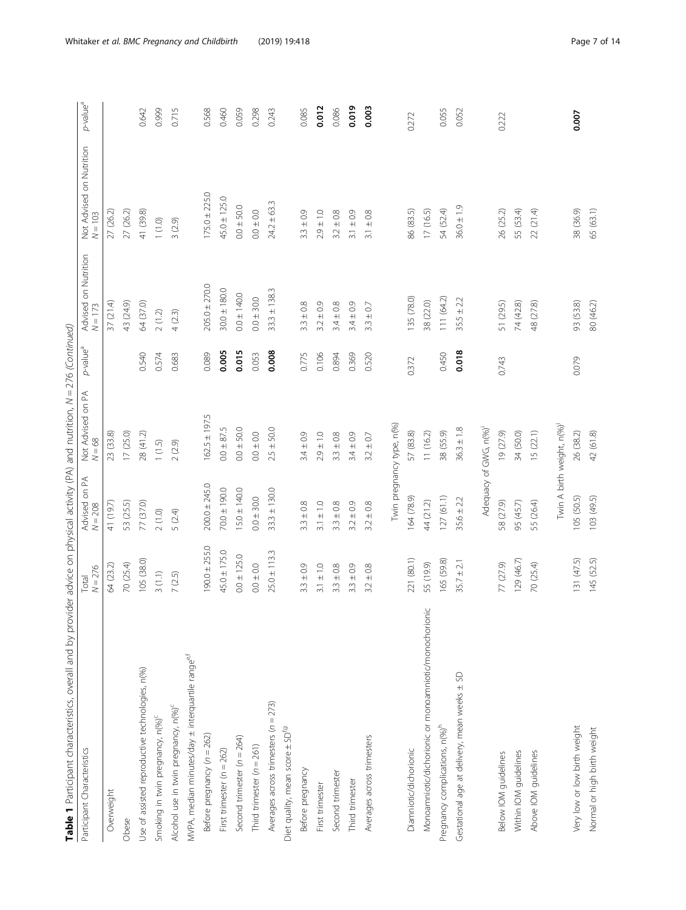| Ì<br>ŕ                        |
|-------------------------------|
|                               |
|                               |
| i                             |
| ļ<br>j                        |
|                               |
| l<br>ì                        |
| $\overline{\mathsf{I}}$       |
| 2                             |
|                               |
| ١                             |
|                               |
|                               |
| j<br>í                        |
| S                             |
| i                             |
|                               |
|                               |
| 1<br>١                        |
|                               |
|                               |
|                               |
| i                             |
| I                             |
| j<br>$\overline{a}$           |
| j                             |
|                               |
| I<br>ļ<br>į                   |
| ١                             |
| )                             |
|                               |
| $\frac{1}{2}$                 |
| i<br>ī                        |
| l<br>֘֒                       |
| 1<br>ć                        |
| $\frac{1}{2}$<br>j<br>ĺ       |
|                               |
| i<br>ÿ                        |
| ļ                             |
|                               |
| j<br>Į                        |
| j<br>j                        |
| i<br>ĉ                        |
|                               |
| ļ<br>i                        |
| 5<br>Ç<br>$\overline{a}$<br>ś |
| ة<br>م<br>í                   |
|                               |
| i                             |
|                               |
| i<br>l                        |
| i<br>)                        |
| ţ                             |
| ī<br>l                        |
| j<br>١                        |
|                               |
| .<br>آ<br>i                   |
| Ï<br>J                        |
| i                             |
| J<br>j                        |
| Δ<br>$\overline{a}$           |
|                               |
| Table 1                       |
|                               |
|                               |
|                               |

| Table 1 Participant characteristics, overall and by provider advice on physical activity (PA) and nutrition, N = 276 (Continued) |                    |                            |                               |                 |                                   |                                       |                         |
|----------------------------------------------------------------------------------------------------------------------------------|--------------------|----------------------------|-------------------------------|-----------------|-----------------------------------|---------------------------------------|-------------------------|
| Participant Characteristics                                                                                                      | $N = 276$<br>Total | Advised on PA<br>$N = 208$ | Not Advised on PA<br>$N = 68$ | $p$ -value $^a$ | Advised on Nutrition<br>$N = 173$ | Not Advised on Nutrition<br>$N = 103$ | $p$ -value <sup>a</sup> |
| Overweight                                                                                                                       | 64 (23.2)          | 41 (19.7)                  | 23 (33.8)                     |                 | 37 (21.4)                         | 27 (26.2)                             |                         |
| Obese                                                                                                                            | 70 (25.4)          | 53 (25.5)                  | 17 (25.0)                     |                 | 43 (24.9)                         | 27 (26.2)                             |                         |
| Use of assisted reproductive technologies, n(%)                                                                                  | 105 (38.0)         | 77 (37.0)                  | 28 (41.2)                     | 0.540           | 64 (37.0)                         | 41 (39.8)                             | 0.642                   |
| Smoking in twin pregnancy, n(%) <sup>c</sup>                                                                                     | 3(1.1)             | 2(1.0)                     | (1.5)                         | 0.574           | 2(1.2)                            | (1.0)                                 | 0.999                   |
| Alcohol use in twin pregnancy, n(%) <sup>c</sup>                                                                                 | 7(2.5)             | 5 (2.4)                    | 2(2.9)                        | 0.683           | 4(2.3)                            | 3(2.9)                                | 0.715                   |
| MVPA, median minutes/day ± interquartile range <sup>e,f</sup>                                                                    |                    |                            |                               |                 |                                   |                                       |                         |
| Before pregnancy $(n = 262)$                                                                                                     | $190.0 \pm 255.0$  | $200.0 \pm 245.0$          | $162.5 \pm 197.5$             | 0.089           | $205.0 \pm 270.0$                 | $175.0 \pm 225.0$                     | 0.568                   |
| First trimester ( $n = 262$ )                                                                                                    | $45.0 \pm 175.0$   | $70.0 \pm 190.0$           | $0.0 + 87.5$                  | 0.005           | $30.0 \pm 180.0$                  | $45.0 \pm 125.0$                      | 0.460                   |
| Second trimester $(n = 264)$                                                                                                     | $0.0 + 125.0$      | $15.0 \pm 140.0$           | $0.04 \pm 50.0$               | 0.015           | $0.0 + 140.0$                     | $0.02 \pm 50.0$                       | 0.059                   |
| Third trimester $(n = 261)$                                                                                                      | $0.0 \pm 0.0$      | $0.01 + 30.0$              | $0.0 \pm 0.0$                 | 0.053           | $0.0 \pm 30.0$                    | $0.0 \pm 0.0$                         | 0.298                   |
| Averages across trimesters (n = 273)                                                                                             | $25.0 \pm 113.3$   | $33.3 \pm 130.0$           | $2.5 \pm 50.0$                | 0.008           | $33.3 \pm 138.3$                  | $24.2 \pm 63.3$                       | 0.243                   |
| Diet quality, mean score ± SD <sup>f.9</sup>                                                                                     |                    |                            |                               |                 |                                   |                                       |                         |
| Before pregnancy                                                                                                                 | $3.3 \pm 0.9$      | $3.3 \pm 0.8$              | $3.4 \pm 0.9$                 | 0.775           | $3.3 \pm 0.8$                     | $3.3 \pm 0.9$                         | 0.085                   |
| First trimester                                                                                                                  | $3.1 \pm 1.0$      | $3.1 \pm 1.0$              | $2.9 \pm 1.0$                 | 0.106           | $3.2 \pm 0.9$                     | $2.9 \pm 1.0$                         | 0.012                   |
| Second trimester                                                                                                                 | $3.3 \pm 0.8$      | $3.3 \pm 0.8$              | $3.3 \pm 0.8$                 | 0.894           | $3.4 \pm 0.8$                     | $3.2 \pm 0.8$                         | 0.086                   |
| Third trimester                                                                                                                  | $3.3 \pm 0.9$      | $3.2 \pm 0.9$              | $3.4 \pm 0.9$                 | 0.369           | $3.4 \pm 0.9$                     | $3.1 \pm 0.9$                         | 0.019                   |
| Averages across trimesters                                                                                                       | $3.2 \pm 0.8$      | $3.2 \pm 0.8$              | $3.2 \pm 0.7$                 | 0.520           | $3.3 \pm 0.7$                     | $3.1 \pm 0.8$                         | 0.003                   |
|                                                                                                                                  |                    | Twin pregnancy type, n(%)  |                               |                 |                                   |                                       |                         |
| Diamniotic/dichorionic                                                                                                           | 221 (80.1)         | 164 (78.9)                 | 57 (83.8)                     | 0.372           | 135 (78.0)                        | 86 (83.5)                             | 0.272                   |
| Monoamniotic/dichorionic or monoamniotic/monochorionic                                                                           | 55 (19.9)          | 44 (21.2)                  | 11 (16.2)                     |                 | 38 (22.0)                         | 17 (16.5)                             |                         |
| Pregnancy complications, n(%) <sup>h</sup>                                                                                       | 165 (59.8)         | 127(61.1)                  | 38 (55.9)                     | 0.450           | 111(64.2)                         | 54 (52.4)                             | 0.055                   |
| Gestational age at delivery, mean weeks ± SD                                                                                     | $35.7 \pm 2.1$     | $35.6 \pm 2.2$             | $36.3 \pm 1.8$                | 0.018           | $35.5 \pm 2.2$                    | $36.0 \pm 1.9$                        | 0.052                   |
|                                                                                                                                  |                    | Adequacy of GWG, n(%)      |                               |                 |                                   |                                       |                         |
| Below IOM guidelines                                                                                                             | 77 (27.9)          | 58 (27.9)                  | 19 (27.9)                     | 0.743           | 51 (29.5)                         | 26 (25.2)                             | 0.222                   |
| Within IOM guidelines                                                                                                            | 129 (46.7)         | 95 (45.7)                  | 34 (50.0)                     |                 | 74 (42.8)                         | 55 (53.4)                             |                         |
| Above IOM guidelines                                                                                                             | 70 (25.4)          | 55 (26.4)                  | 15 (22.1)                     |                 | 48 (27.8)                         | 22 (21.4)                             |                         |
|                                                                                                                                  |                    | Twin A birth weight, n(%)  |                               |                 |                                   |                                       |                         |
| Very low or low birth weight                                                                                                     | 131 (47.5)         | 105 (50.5)                 | 26(38.2)                      | 0.079           | 93 (53.8)                         | 38 (36.9)                             | 0.007                   |
| Normal or high birth weight                                                                                                      | 145 (52.5)         | 103 (49.5)                 | 42 (61.8)                     |                 | 80 (46.2)                         | 65 (63.1)                             |                         |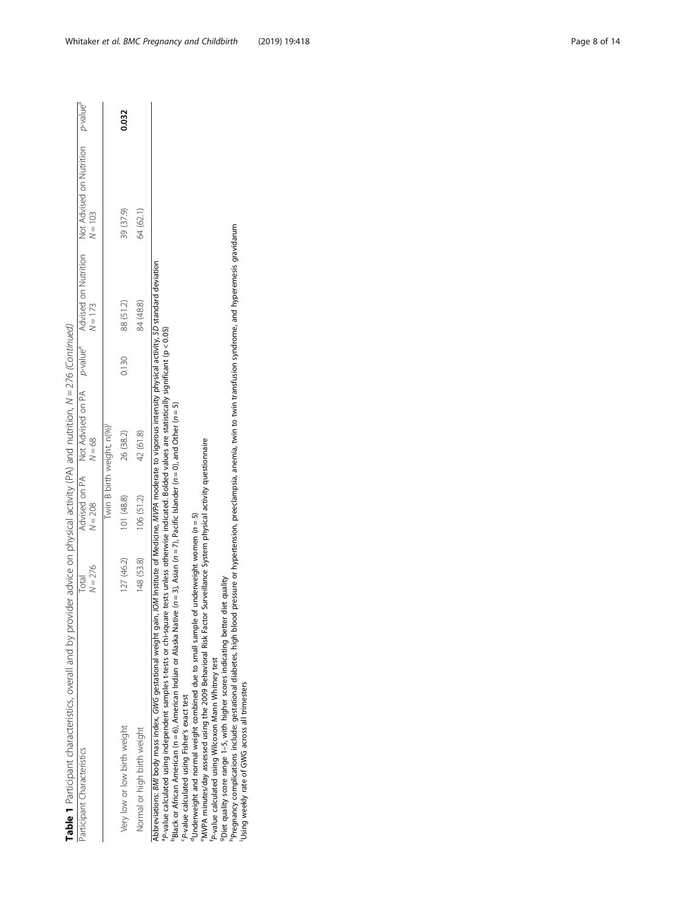| 3<br>١<br>5<br>ï<br>j<br>I<br>ļ<br>֢ׅׅ֧֚֚֚֚֚֚֚֚֚֚֚֚֚֚֚֚֡֕֡֡֓֡֓֡֓֡֡֡֡֡֬֓֡֡֓֡֓֡֞֓֡֡֡֬<br>į<br>$\mathsf{I}$<br>i<br>i |
|--------------------------------------------------------------------------------------------------------------------|
| ׇ֚֘֡<br>֖֖ׅׅׅ֖֚֚֚֚֚֚֚֚֚֚֚֚֡֝֝֬֝֬֝<br>i<br>ī                                                                        |
| ļ<br>١                                                                                                             |
| l<br>l<br>ć                                                                                                        |
| ξ<br>ׇ֚֬<br>i<br>$\overline{\mathbf{S}}$<br>)                                                                      |
| ١<br>ĉ<br>١<br>リニー<br>1<br>$\vdots$<br>ׇ֚֚֕֕<br>l                                                                  |
| Ō<br>ī<br>j<br>I<br>Ï<br>ļ                                                                                         |
| í<br>Į<br>ł<br>İ<br>5<br>ļ<br>l                                                                                    |
| l<br>I<br>うりり<br>¢<br>1<br>؟<br>٢<br>İ                                                                             |
| j<br>i<br>j<br>ׇ֚֓<br>$\frac{1}{2}$<br>J<br>j<br>l                                                                 |
| l able 1<br>I                                                                                                      |

| Table 1 Participant characteristics, overall and by provider advice on physical activity (PA) and nutrition, N = 276 (Continued)                                                                                                                                                                                       |                    |                                                                        |                                                                                          |       |           |                                                                                                     |       |
|------------------------------------------------------------------------------------------------------------------------------------------------------------------------------------------------------------------------------------------------------------------------------------------------------------------------|--------------------|------------------------------------------------------------------------|------------------------------------------------------------------------------------------|-------|-----------|-----------------------------------------------------------------------------------------------------|-------|
| Participant Characteristics                                                                                                                                                                                                                                                                                            | $N = 276$<br>Total | $N = 208$                                                              | $N = 68$                                                                                 |       | $N = 173$ | Advised on PA Not Advised on PA Advised on Nutrition Not Advised on Nutrition P-value"<br>$N = 103$ |       |
|                                                                                                                                                                                                                                                                                                                        |                    | Twin B birth weight, $n(\%)$                                           |                                                                                          |       |           |                                                                                                     |       |
| Very low or low birth weight                                                                                                                                                                                                                                                                                           | 127(46.2)          | 101 (48.8)                                                             | 26 (38.2)                                                                                | 0.130 | 88 (51.2) | 39 (37.9)                                                                                           | 0.032 |
| Normal or high birth weight                                                                                                                                                                                                                                                                                            | 148 (53.8)         | 106(51.2)                                                              | 42 (61.8)                                                                                |       | 84 (48.8) | 64 (62.1)                                                                                           |       |
| Abbreviations: BMI body mass index, GIVG gestational weight gain, IOM Institute of Medicine, MVPA moderate to vigorous intensity physical activity, SD standard deviation<br>P-value calculated using independent samples t-tests or chi-square<br>Black or African American (n = 6), American Indian or Alaska Native |                    | $(n=3)$ , Asian $(n=7)$ , Pacific Islander $(n=0)$ , and Other $(n=5)$ | tests unless otherwise indicated. Bolded values are statistically significant (p < 0.05) |       |           |                                                                                                     |       |
| ter text direction term text in the second                                                                                                                                                                                                                                                                             |                    |                                                                        |                                                                                          |       |           |                                                                                                     |       |

°P-value calculated using Fisher's exact test<br>"Underweight and normal weight combined due to small sample of underweight women (n = 5)<br>"MVPA minutes/day assessed using the 2009 Behavioral Risk Factor Surveillance System ph cP-value calculated using Fisher's exact test

 $d$ Underweight and normal weight combined due to small sample of underweight women ( $n = 5$ )

eMVPA minutes/day assessed using the 2009 Behavioral Risk Factor Surveillance System physical activity questionnaire

fP-value calculated using Wilcoxon Mann Whitney test

gDiet quality score range 1–5, with higher scores indicating better diet quality

'P-value calculated using Wilcoxon Mann Whitney test<br>"P-value calculated using Wilcoxon Mann Whitney test<br>"Diet quality score range 1–5, with higher scores indicating better diet quality<br>"Pregnancy complications include: g hPregnancy complications include: gestational diabetes, high blood pressure or hypertension, preeclampsia, anemia, twin to twin transfusion syndrome, and hyperemesis gravidarum iUsing weekly rate of GWG across all trimesters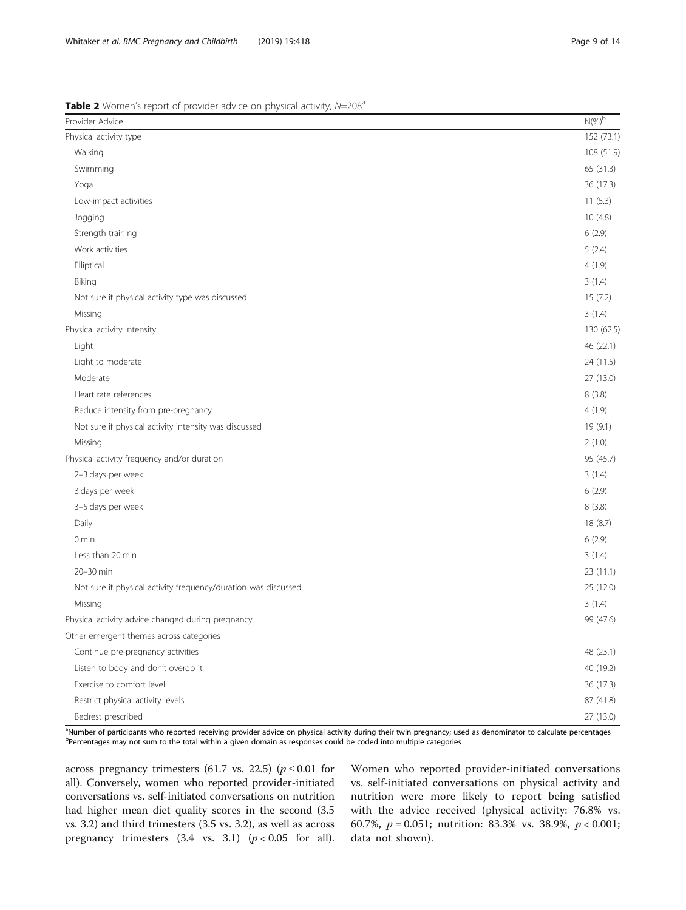<sup>a</sup>Number of participants who reported receiving provider advice on physical activity during their twin pregnancy; used as denominator to calculate percentages<br><sup>b</sup>Percentages may not sum to the total within a given domain <sup>b</sup>Percentages may not sum to the total within a given domain as responses could be coded into multiple categories

across pregnancy trimesters (61.7 vs. 22.5) ( $p \le 0.01$  for all). Conversely, women who reported provider-initiated conversations vs. self-initiated conversations on nutrition had higher mean diet quality scores in the second (3.5 vs. 3.2) and third trimesters (3.5 vs. 3.2), as well as across pregnancy trimesters  $(3.4 \text{ vs. } 3.1)$   $(p < 0.05 \text{ for all}).$ 

Women who reported provider-initiated conversations vs. self-initiated conversations on physical activity and nutrition were more likely to report being satisfied with the advice received (physical activity: 76.8% vs. 60.7%,  $p = 0.051$ ; nutrition: 83.3% vs. 38.9%,  $p < 0.001$ ; data not shown).

<span id="page-8-0"></span>**Table 2** Women's report of provider advice on physical activity,  $N=208^a$ 

| Provider Advice                                                | $N(\%)^b$  |
|----------------------------------------------------------------|------------|
| Physical activity type                                         | 152 (73.1) |
| Walking                                                        | 108 (51.9) |
| Swimming                                                       | 65 (31.3)  |
| Yoga                                                           | 36 (17.3)  |
| Low-impact activities                                          | 11(5.3)    |
| Jogging                                                        | 10(4.8)    |
| Strength training                                              | 6(2.9)     |
| Work activities                                                | 5(2.4)     |
| Elliptical                                                     | 4(1.9)     |
| Biking                                                         | 3(1.4)     |
| Not sure if physical activity type was discussed               | 15(7.2)    |
| Missing                                                        | 3(1.4)     |
| Physical activity intensity                                    | 130 (62.5) |
| Light                                                          | 46 (22.1)  |
| Light to moderate                                              | 24 (11.5)  |
| Moderate                                                       | 27 (13.0)  |
| Heart rate references                                          | 8(3.8)     |
| Reduce intensity from pre-pregnancy                            | 4(1.9)     |
| Not sure if physical activity intensity was discussed          | 19 (9.1)   |
| Missing                                                        | 2(1.0)     |
| Physical activity frequency and/or duration                    | 95 (45.7)  |
| 2-3 days per week                                              | 3(1.4)     |
| 3 days per week                                                | 6(2.9)     |
| 3-5 days per week                                              | 8(3.8)     |
| Daily                                                          | 18 (8.7)   |
| $0$ min                                                        | 6(2.9)     |
| Less than 20 min                                               | 3(1.4)     |
| 20-30 min                                                      | 23 (11.1)  |
| Not sure if physical activity frequency/duration was discussed | 25 (12.0)  |
| Missing                                                        | 3(1.4)     |
| Physical activity advice changed during pregnancy              | 99 (47.6)  |
| Other emergent themes across categories                        |            |
| Continue pre-pregnancy activities                              | 48 (23.1)  |
| Listen to body and don't overdo it                             | 40 (19.2)  |
| Exercise to comfort level                                      | 36 (17.3)  |
| Restrict physical activity levels                              | 87 (41.8)  |
| Bedrest prescribed                                             | 27 (13.0)  |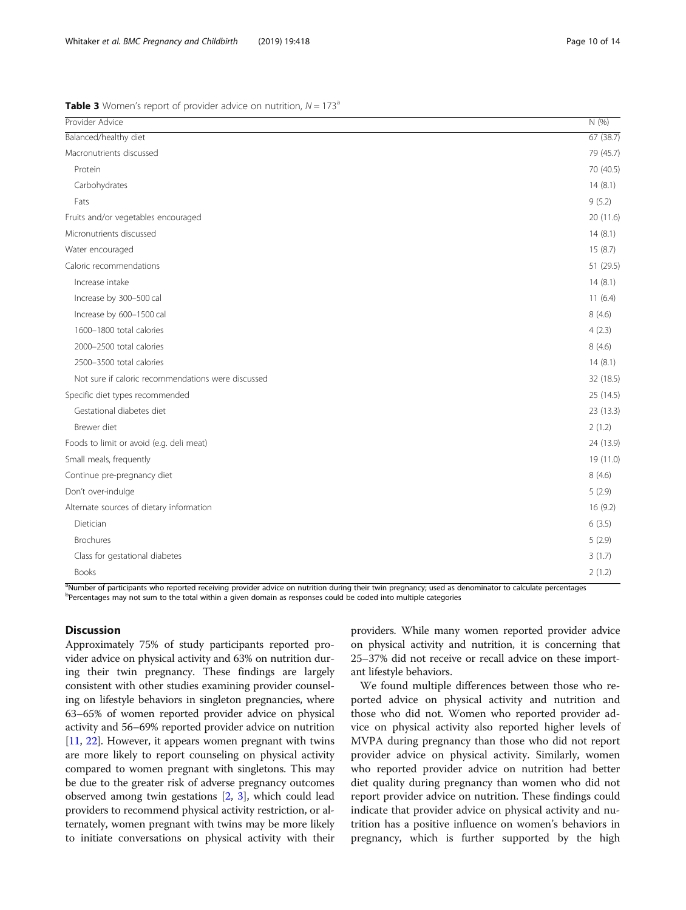<sup>a</sup>Number of participants who reported receiving provider advice on nutrition during their twin pregnancy; used as denominator to calculate percentages<br>Ppercentages may not sum to the total within a given domain as respons <sup>b</sup>Percentages may not sum to the total within a given domain as responses could be coded into multiple categories

# **Discussion**

Approximately 75% of study participants reported provider advice on physical activity and 63% on nutrition during their twin pregnancy. These findings are largely consistent with other studies examining provider counseling on lifestyle behaviors in singleton pregnancies, where 63–65% of women reported provider advice on physical activity and 56–69% reported provider advice on nutrition [[11](#page-13-0), [22](#page-13-0)]. However, it appears women pregnant with twins are more likely to report counseling on physical activity compared to women pregnant with singletons. This may be due to the greater risk of adverse pregnancy outcomes observed among twin gestations [[2](#page-12-0), [3](#page-12-0)], which could lead providers to recommend physical activity restriction, or alternately, women pregnant with twins may be more likely to initiate conversations on physical activity with their

providers. While many women reported provider advice on physical activity and nutrition, it is concerning that 25–37% did not receive or recall advice on these important lifestyle behaviors.

We found multiple differences between those who reported advice on physical activity and nutrition and those who did not. Women who reported provider advice on physical activity also reported higher levels of MVPA during pregnancy than those who did not report provider advice on physical activity. Similarly, women who reported provider advice on nutrition had better diet quality during pregnancy than women who did not report provider advice on nutrition. These findings could indicate that provider advice on physical activity and nutrition has a positive influence on women's behaviors in pregnancy, which is further supported by the high

<span id="page-9-0"></span>**Table 3** Women's report of provider advice on nutrition,  $N = 173^a$ 

| Provider Advice                                    | N(%)      |
|----------------------------------------------------|-----------|
| Balanced/healthy diet                              | 67(38.7)  |
| Macronutrients discussed                           | 79 (45.7) |
| Protein                                            | 70 (40.5) |
| Carbohydrates                                      | 14(8.1)   |
| Fats                                               | 9(5.2)    |
| Fruits and/or vegetables encouraged                | 20 (11.6) |
| Micronutrients discussed                           | 14(8.1)   |
| Water encouraged                                   | 15(8.7)   |
| Caloric recommendations                            | 51 (29.5) |
| Increase intake                                    | 14(8.1)   |
| Increase by 300-500 cal                            | 11(6.4)   |
| Increase by 600-1500 cal                           | 8(4.6)    |
| 1600-1800 total calories                           | 4(2.3)    |
| 2000-2500 total calories                           | 8(4.6)    |
| 2500-3500 total calories                           | 14(8.1)   |
| Not sure if caloric recommendations were discussed | 32 (18.5) |
| Specific diet types recommended                    | 25 (14.5) |
| Gestational diabetes diet                          | 23 (13.3) |
| Brewer diet                                        | 2(1.2)    |
| Foods to limit or avoid (e.g. deli meat)           | 24 (13.9) |
| Small meals, frequently                            | 19 (11.0) |
| Continue pre-pregnancy diet                        | 8(4.6)    |
| Don't over-indulge                                 | 5(2.9)    |
| Alternate sources of dietary information           | 16(9.2)   |
| Dietician                                          | 6(3.5)    |
| <b>Brochures</b>                                   | 5(2.9)    |
| Class for gestational diabetes                     | 3(1.7)    |
| <b>Books</b>                                       | 2(1.2)    |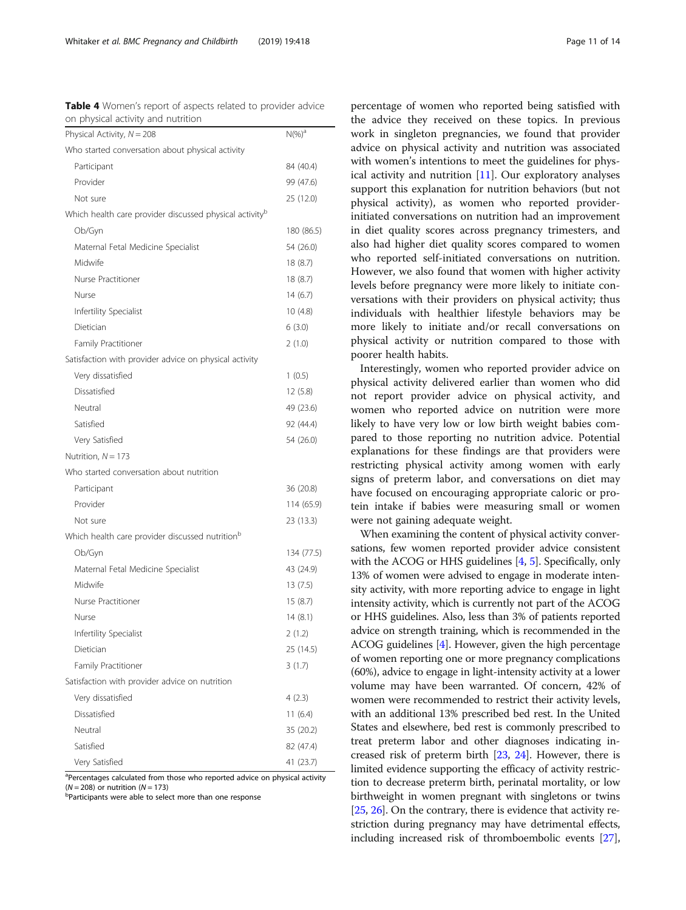<span id="page-10-0"></span>

|                                    |  |  |  | <b>Table 4</b> Women's report of aspects related to provider advice |  |
|------------------------------------|--|--|--|---------------------------------------------------------------------|--|
| on physical activity and nutrition |  |  |  |                                                                     |  |

| Physical Activity, $N = 208$                                        | $N(\%)^a$  |
|---------------------------------------------------------------------|------------|
| Who started conversation about physical activity                    |            |
| Participant                                                         | 84 (40.4)  |
| Provider                                                            | 99 (47.6)  |
| Not sure                                                            | 25 (12.0)  |
| Which health care provider discussed physical activity <sup>b</sup> |            |
| Ob/Gyn                                                              | 180 (86.5) |
| Maternal Fetal Medicine Specialist                                  | 54 (26.0)  |
| Midwife                                                             | 18(8.7)    |
| Nurse Practitioner                                                  | 18 (8.7)   |
| Nurse                                                               | 14 (6.7)   |
| Infertility Specialist                                              | 10(4.8)    |
| Dietician                                                           | 6(3.0)     |
| Family Practitioner                                                 | 2(1.0)     |
| Satisfaction with provider advice on physical activity              |            |
| Very dissatisfied                                                   | 1(0.5)     |
| Dissatisfied                                                        | 12 (5.8)   |
| Neutral                                                             | 49 (23.6)  |
| Satisfied                                                           | 92 (44.4)  |
| Very Satisfied                                                      | 54 (26.0)  |
| Nutrition, $N = 173$                                                |            |
| Who started conversation about nutrition                            |            |
| Participant                                                         | 36 (20.8)  |
| Provider                                                            | 114 (65.9) |
| Not sure                                                            | 23 (13.3)  |
| Which health care provider discussed nutrition <sup>b</sup>         |            |
| Ob/Gyn                                                              | 134 (77.5) |
| Maternal Fetal Medicine Specialist                                  | 43 (24.9)  |
| Midwife                                                             | 13(7.5)    |
| Nurse Practitioner                                                  | 15(8.7)    |
| Nurse                                                               | 14 (8.1)   |
| Infertility Specialist                                              | 2(1.2)     |
| Dietician                                                           | 25 (14.5)  |
| <b>Family Practitioner</b>                                          | 3(1.7)     |
| Satisfaction with provider advice on nutrition                      |            |
| Very dissatisfied                                                   | 4(2.3)     |
| Dissatisfied                                                        | 11 $(6.4)$ |
| Neutral                                                             | 35 (20.2)  |
| Satisfied                                                           | 82 (47.4)  |
| Very Satisfied                                                      | 41 (23.7)  |

<sup>a</sup>Percentages calculated from those who reported advice on physical activity  $(N = 208)$  or nutrition  $(N = 173)$ 

<sup>b</sup>Participants were able to select more than one response

percentage of women who reported being satisfied with the advice they received on these topics. In previous work in singleton pregnancies, we found that provider advice on physical activity and nutrition was associated with women's intentions to meet the guidelines for physical activity and nutrition  $[11]$  $[11]$  $[11]$ . Our exploratory analyses support this explanation for nutrition behaviors (but not physical activity), as women who reported providerinitiated conversations on nutrition had an improvement in diet quality scores across pregnancy trimesters, and also had higher diet quality scores compared to women who reported self-initiated conversations on nutrition. However, we also found that women with higher activity levels before pregnancy were more likely to initiate conversations with their providers on physical activity; thus individuals with healthier lifestyle behaviors may be more likely to initiate and/or recall conversations on physical activity or nutrition compared to those with poorer health habits.

Interestingly, women who reported provider advice on physical activity delivered earlier than women who did not report provider advice on physical activity, and women who reported advice on nutrition were more likely to have very low or low birth weight babies compared to those reporting no nutrition advice. Potential explanations for these findings are that providers were restricting physical activity among women with early signs of preterm labor, and conversations on diet may have focused on encouraging appropriate caloric or protein intake if babies were measuring small or women were not gaining adequate weight.

When examining the content of physical activity conversations, few women reported provider advice consistent with the ACOG or HHS guidelines [\[4](#page-12-0), [5\]](#page-12-0). Specifically, only 13% of women were advised to engage in moderate intensity activity, with more reporting advice to engage in light intensity activity, which is currently not part of the ACOG or HHS guidelines. Also, less than 3% of patients reported advice on strength training, which is recommended in the ACOG guidelines [[4\]](#page-12-0). However, given the high percentage of women reporting one or more pregnancy complications (60%), advice to engage in light-intensity activity at a lower volume may have been warranted. Of concern, 42% of women were recommended to restrict their activity levels, with an additional 13% prescribed bed rest. In the United States and elsewhere, bed rest is commonly prescribed to treat preterm labor and other diagnoses indicating increased risk of preterm birth [\[23](#page-13-0), [24\]](#page-13-0). However, there is limited evidence supporting the efficacy of activity restriction to decrease preterm birth, perinatal mortality, or low birthweight in women pregnant with singletons or twins [[25](#page-13-0), [26\]](#page-13-0). On the contrary, there is evidence that activity restriction during pregnancy may have detrimental effects, including increased risk of thromboembolic events [[27](#page-13-0)],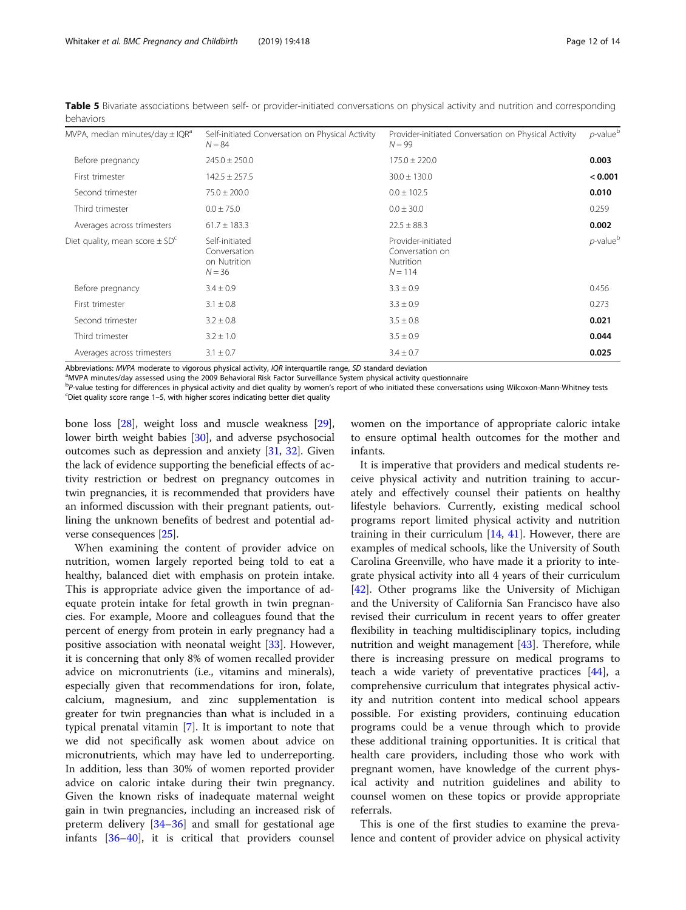<span id="page-11-0"></span>Table 5 Bivariate associations between self- or provider-initiated conversations on physical activity and nutrition and corresponding behaviors

| MVPA, median minutes/day $\pm$ IQR <sup>a</sup> | Self-initiated Conversation on Physical Activity<br>$N = 84$ | Provider-initiated Conversation on Physical Activity<br>$N = 99$ | $p$ -value $b$ |
|-------------------------------------------------|--------------------------------------------------------------|------------------------------------------------------------------|----------------|
| Before pregnancy                                | $245.0 \pm 250.0$                                            | $175.0 \pm 220.0$                                                | 0.003          |
| First trimester                                 | $142.5 \pm 257.5$                                            | $30.0 \pm 130.0$                                                 | < 0.001        |
| Second trimester                                | $75.0 \pm 200.0$                                             | $0.0 \pm 102.5$                                                  | 0.010          |
| Third trimester                                 | $0.0 \pm 75.0$                                               | $0.0 \pm 30.0$                                                   | 0.259          |
| Averages across trimesters                      | $61.7 \pm 183.3$                                             | $22.5 \pm 88.3$                                                  | 0.002          |
| Diet quality, mean score $\pm$ SD <sup>c</sup>  | Self-initiated<br>Conversation<br>on Nutrition<br>$N = 36$   | Provider-initiated<br>Conversation on<br>Nutrition<br>$N = 114$  | $p$ -value $b$ |
| Before pregnancy                                | $3.4 \pm 0.9$                                                | $3.3 \pm 0.9$                                                    | 0.456          |
| First trimester                                 | $3.1 \pm 0.8$                                                | $3.3 \pm 0.9$                                                    | 0.273          |
| Second trimester                                | $3.2 \pm 0.8$                                                | $3.5 \pm 0.8$                                                    | 0.021          |
| Third trimester                                 | $3.2 \pm 1.0$                                                | $3.5 \pm 0.9$                                                    | 0.044          |
| Averages across trimesters                      | $3.1 \pm 0.7$                                                | $3.4 \pm 0.7$                                                    | 0.025          |

aMVPA minutes/day assessed using the 2009 Behavioral Risk Factor Surveillance System physical activity questionnaire

bp-value testing for differences in physical activity and diet quality by women's report of who initiated these conversations using Wilcoxon-Mann-Whitney tests <sup>c</sup>hiet quality core canno-Whitney tests  $c$  Diet quality score range 1–5, with higher scores indicating better diet quality

bone loss [[28\]](#page-13-0), weight loss and muscle weakness [[29](#page-13-0)], lower birth weight babies [\[30\]](#page-13-0), and adverse psychosocial outcomes such as depression and anxiety [\[31,](#page-13-0) [32\]](#page-13-0). Given the lack of evidence supporting the beneficial effects of activity restriction or bedrest on pregnancy outcomes in twin pregnancies, it is recommended that providers have an informed discussion with their pregnant patients, outlining the unknown benefits of bedrest and potential adverse consequences [\[25\]](#page-13-0).

When examining the content of provider advice on nutrition, women largely reported being told to eat a healthy, balanced diet with emphasis on protein intake. This is appropriate advice given the importance of adequate protein intake for fetal growth in twin pregnancies. For example, Moore and colleagues found that the percent of energy from protein in early pregnancy had a positive association with neonatal weight [\[33](#page-13-0)]. However, it is concerning that only 8% of women recalled provider advice on micronutrients (i.e., vitamins and minerals), especially given that recommendations for iron, folate, calcium, magnesium, and zinc supplementation is greater for twin pregnancies than what is included in a typical prenatal vitamin [[7\]](#page-12-0). It is important to note that we did not specifically ask women about advice on micronutrients, which may have led to underreporting. In addition, less than 30% of women reported provider advice on caloric intake during their twin pregnancy. Given the known risks of inadequate maternal weight gain in twin pregnancies, including an increased risk of preterm delivery [[34](#page-13-0)–[36](#page-13-0)] and small for gestational age infants [\[36](#page-13-0)–[40\]](#page-13-0), it is critical that providers counsel

women on the importance of appropriate caloric intake to ensure optimal health outcomes for the mother and infants.

It is imperative that providers and medical students receive physical activity and nutrition training to accurately and effectively counsel their patients on healthy lifestyle behaviors. Currently, existing medical school programs report limited physical activity and nutrition training in their curriculum [[14,](#page-13-0) [41\]](#page-13-0). However, there are examples of medical schools, like the University of South Carolina Greenville, who have made it a priority to integrate physical activity into all 4 years of their curriculum [[42\]](#page-13-0). Other programs like the University of Michigan and the University of California San Francisco have also revised their curriculum in recent years to offer greater flexibility in teaching multidisciplinary topics, including nutrition and weight management  $[43]$  $[43]$ . Therefore, while there is increasing pressure on medical programs to teach a wide variety of preventative practices [\[44](#page-13-0)], a comprehensive curriculum that integrates physical activity and nutrition content into medical school appears possible. For existing providers, continuing education programs could be a venue through which to provide these additional training opportunities. It is critical that health care providers, including those who work with pregnant women, have knowledge of the current physical activity and nutrition guidelines and ability to counsel women on these topics or provide appropriate referrals.

This is one of the first studies to examine the prevalence and content of provider advice on physical activity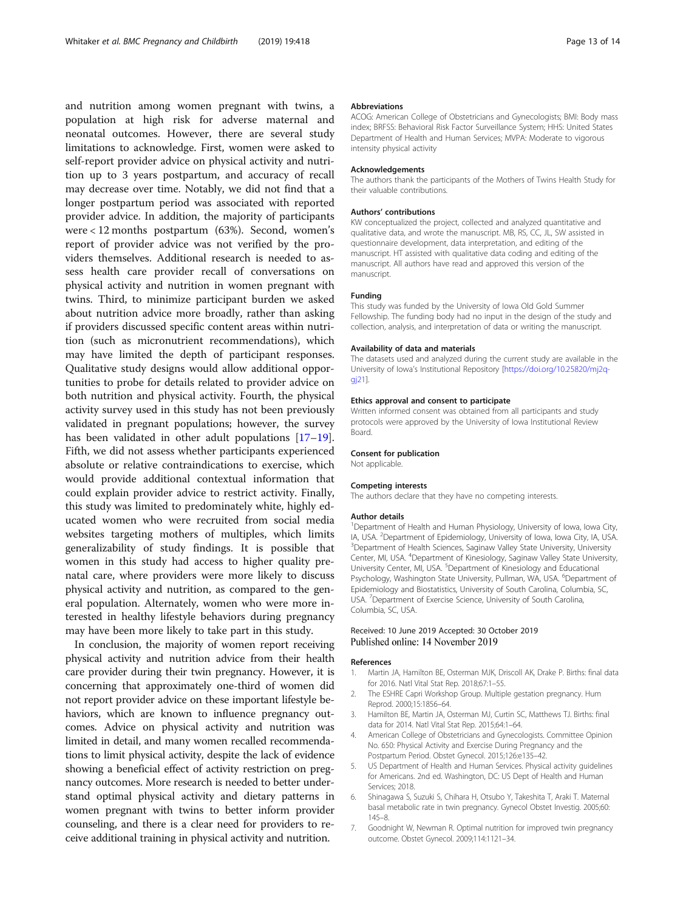<span id="page-12-0"></span>and nutrition among women pregnant with twins, a population at high risk for adverse maternal and neonatal outcomes. However, there are several study limitations to acknowledge. First, women were asked to self-report provider advice on physical activity and nutrition up to 3 years postpartum, and accuracy of recall may decrease over time. Notably, we did not find that a longer postpartum period was associated with reported provider advice. In addition, the majority of participants were < 12 months postpartum (63%). Second, women's report of provider advice was not verified by the providers themselves. Additional research is needed to assess health care provider recall of conversations on physical activity and nutrition in women pregnant with twins. Third, to minimize participant burden we asked about nutrition advice more broadly, rather than asking if providers discussed specific content areas within nutrition (such as micronutrient recommendations), which may have limited the depth of participant responses. Qualitative study designs would allow additional opportunities to probe for details related to provider advice on both nutrition and physical activity. Fourth, the physical activity survey used in this study has not been previously validated in pregnant populations; however, the survey has been validated in other adult populations [[17](#page-13-0)–[19](#page-13-0)]. Fifth, we did not assess whether participants experienced absolute or relative contraindications to exercise, which would provide additional contextual information that could explain provider advice to restrict activity. Finally, this study was limited to predominately white, highly educated women who were recruited from social media websites targeting mothers of multiples, which limits generalizability of study findings. It is possible that women in this study had access to higher quality prenatal care, where providers were more likely to discuss physical activity and nutrition, as compared to the general population. Alternately, women who were more interested in healthy lifestyle behaviors during pregnancy may have been more likely to take part in this study.

In conclusion, the majority of women report receiving physical activity and nutrition advice from their health care provider during their twin pregnancy. However, it is concerning that approximately one-third of women did not report provider advice on these important lifestyle behaviors, which are known to influence pregnancy outcomes. Advice on physical activity and nutrition was limited in detail, and many women recalled recommendations to limit physical activity, despite the lack of evidence showing a beneficial effect of activity restriction on pregnancy outcomes. More research is needed to better understand optimal physical activity and dietary patterns in women pregnant with twins to better inform provider counseling, and there is a clear need for providers to receive additional training in physical activity and nutrition.

#### Abbreviations

ACOG: American College of Obstetricians and Gynecologists; BMI: Body mass index; BRFSS: Behavioral Risk Factor Surveillance System; HHS: United States Department of Health and Human Services; MVPA: Moderate to vigorous intensity physical activity

#### Acknowledgements

The authors thank the participants of the Mothers of Twins Health Study for their valuable contributions.

#### Authors' contributions

KW conceptualized the project, collected and analyzed quantitative and qualitative data, and wrote the manuscript. MB, RS, CC, JL, SW assisted in questionnaire development, data interpretation, and editing of the manuscript. HT assisted with qualitative data coding and editing of the manuscript. All authors have read and approved this version of the manuscript.

#### Funding

This study was funded by the University of Iowa Old Gold Summer Fellowship. The funding body had no input in the design of the study and collection, analysis, and interpretation of data or writing the manuscript.

#### Availability of data and materials

The datasets used and analyzed during the current study are available in the University of Iowa's Institutional Repository [[https://doi.org/10.25820/mj2q](https://doi.org/10.25820/mj2q-gj21)[gj21\]](https://doi.org/10.25820/mj2q-gj21).

#### Ethics approval and consent to participate

Written informed consent was obtained from all participants and study protocols were approved by the University of Iowa Institutional Review Board.

#### Consent for publication

Not applicable.

## Competing interests

The authors declare that they have no competing interests.

#### Author details

<sup>1</sup>Department of Health and Human Physiology, University of Iowa, Iowa City IA, USA. <sup>2</sup> Department of Epidemiology, University of Iowa, Iowa City, IA, USA. <sup>3</sup> Department of Hoalth Sciences, Saginaw Valloy State University University. <sup>3</sup>Department of Health Sciences, Saginaw Valley State University, University Center, MI, USA. <sup>4</sup>Department of Kinesiology, Saginaw Valley State University University Center, MI, USA. <sup>5</sup>Department of Kinesiology and Educational Psychology, Washington State University, Pullman, WA, USA. <sup>6</sup>Department of Epidemiology and Biostatistics, University of South Carolina, Columbia, SC, USA. <sup>7</sup>Department of Exercise Science, University of South Carolina, Columbia, SC, USA.

## Received: 10 June 2019 Accepted: 30 October 2019 Published online: 14 November 2019

#### References

- 1. Martin JA, Hamilton BE, Osterman MJK, Driscoll AK, Drake P. Births: final data for 2016. Natl Vital Stat Rep. 2018;67:1–55.
- 2. The ESHRE Capri Workshop Group. Multiple gestation pregnancy. Hum Reprod. 2000;15:1856–64.
- 3. Hamilton BE, Martin JA, Osterman MJ, Curtin SC, Matthews TJ. Births: final data for 2014. Natl Vital Stat Rep. 2015;64:1–64.
- 4. American College of Obstetricians and Gynecologists. Committee Opinion No. 650: Physical Activity and Exercise During Pregnancy and the Postpartum Period. Obstet Gynecol. 2015;126:e135–42.
- 5. US Department of Health and Human Services. Physical activity guidelines for Americans. 2nd ed. Washington, DC: US Dept of Health and Human Services; 2018.
- 6. Shinagawa S, Suzuki S, Chihara H, Otsubo Y, Takeshita T, Araki T. Maternal basal metabolic rate in twin pregnancy. Gynecol Obstet Investig. 2005;60: 145–8.
- 7. Goodnight W, Newman R. Optimal nutrition for improved twin pregnancy outcome. Obstet Gynecol. 2009;114:1121–34.